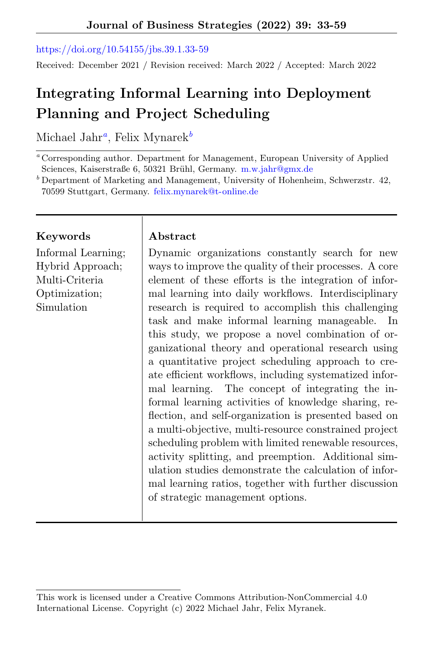<https://doi.org/10.54155/jbs.39.1.33-59>

Received: December 2021 / Revision received: March 2022 / Accepted: March 2022

# Integrating Informal Learning into Deployment Planning and Project Scheduling

Michael Jahr<sup>a</sup>, Felix Mynarek<sup>b</sup>

<sup>a</sup> Corresponding author. Department for Management, European University of Applied Sciences, Kaiserstraße 6, 50321 Brühl, Germany. <m.w.jahr@gmx.de>

 $b$  Department of Marketing and Management, University of Hohenheim, Schwerzstr. 42, 70599 Stuttgart, Germany. <felix.mynarek@t-online.de>

#### Keywords | Abstract

Informal Learning; Hybrid Approach; Multi-Criteria Optimization; Simulation

Dynamic organizations constantly search for new ways to improve the quality of their processes. A core element of these efforts is the integration of informal learning into daily workflows. Interdisciplinary research is required to accomplish this challenging task and make informal learning manageable. In this study, we propose a novel combination of organizational theory and operational research using a quantitative project scheduling approach to create efficient workflows, including systematized informal learning. The concept of integrating the informal learning activities of knowledge sharing, reflection, and self-organization is presented based on a multi-objective, multi-resource constrained project scheduling problem with limited renewable resources, activity splitting, and preemption. Additional simulation studies demonstrate the calculation of informal learning ratios, together with further discussion of strategic management options.

This work is licensed under a Creative Commons Attribution-NonCommercial 4.0 International License. Copyright (c) 2022 Michael Jahr, Felix Myranek.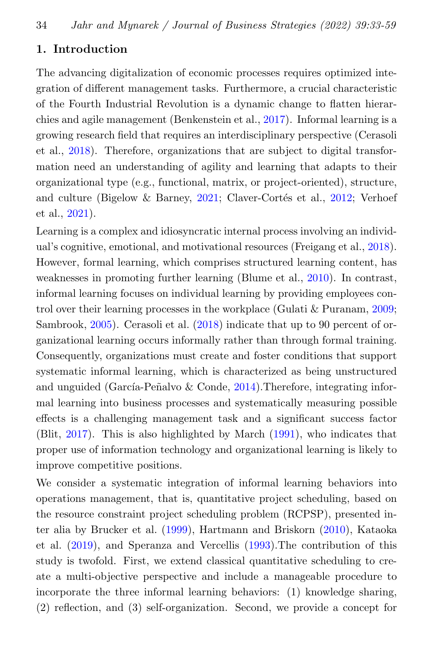### 1. Introduction

The advancing digitalization of economic processes requires optimized integration of different management tasks. Furthermore, a crucial characteristic of the Fourth Industrial Revolution is a dynamic change to flatten hierarchies and agile management (Benkenstein et al., [2017\)](#page-20-0). Informal learning is a growing research field that requires an interdisciplinary perspective (Cerasoli et al., [2018\)](#page-21-0). Therefore, organizations that are subject to digital transformation need an understanding of agility and learning that adapts to their organizational type (e.g., functional, matrix, or project-oriented), structure, and culture (Bigelow & Barney,  $2021$ ; Claver-Cortés et al.,  $2012$ ; Verhoef et al., [2021\)](#page-26-0).

Learning is a complex and idiosyncratic internal process involving an individual's cognitive, emotional, and motivational resources (Freigang et al., [2018\)](#page-22-0). However, formal learning, which comprises structured learning content, has weaknesses in promoting further learning (Blume et al., [2010\)](#page-21-3). In contrast, informal learning focuses on individual learning by providing employees control over their learning processes in the workplace (Gulati & Puranam, [2009;](#page-22-1) Sambrook, [2005\)](#page-25-0). Cerasoli et al. [\(2018\)](#page-21-0) indicate that up to 90 percent of organizational learning occurs informally rather than through formal training. Consequently, organizations must create and foster conditions that support systematic informal learning, which is characterized as being unstructured and unguided (García-Peñalvo & Conde,  $2014$ ). Therefore, integrating informal learning into business processes and systematically measuring possible effects is a challenging management task and a significant success factor (Blit, [2017\)](#page-21-4). This is also highlighted by March [\(1991\)](#page-24-0), who indicates that proper use of information technology and organizational learning is likely to improve competitive positions.

We consider a systematic integration of informal learning behaviors into operations management, that is, quantitative project scheduling, based on the resource constraint project scheduling problem (RCPSP), presented inter alia by Brucker et al. [\(1999\)](#page-21-5), Hartmann and Briskorn [\(2010\)](#page-23-0), Kataoka et al. [\(2019\)](#page-23-1), and Speranza and Vercellis [\(1993\)](#page-25-1).The contribution of this study is twofold. First, we extend classical quantitative scheduling to create a multi-objective perspective and include a manageable procedure to incorporate the three informal learning behaviors: (1) knowledge sharing, (2) reflection, and (3) self-organization. Second, we provide a concept for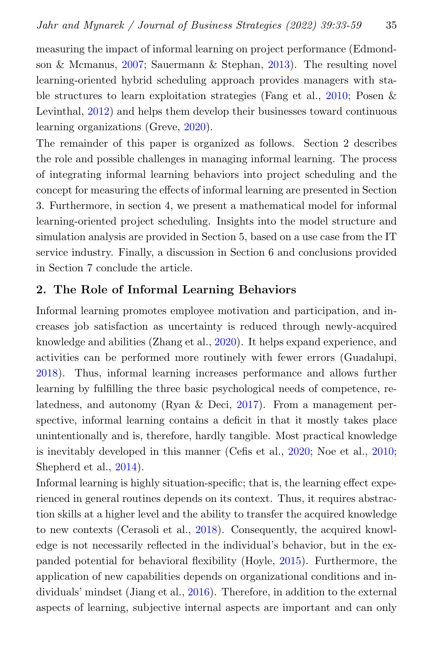measuring the impact of informal learning on project performance (Edmondson & Mcmanus, [2007;](#page-22-3) Sauermann & Stephan, [2013\)](#page-25-2). The resulting novel learning-oriented hybrid scheduling approach provides managers with sta-ble structures to learn exploitation strategies (Fang et al., [2010;](#page-22-4) Posen  $\&$ Levinthal, [2012\)](#page-24-1) and helps them develop their businesses toward continuous learning organizations (Greve, [2020\)](#page-22-5).

The remainder of this paper is organized as follows. Section 2 describes the role and possible challenges in managing informal learning. The process of integrating informal learning behaviors into project scheduling and the concept for measuring the effects of informal learning are presented in Section 3. Furthermore, in section 4, we present a mathematical model for informal learning-oriented project scheduling. Insights into the model structure and simulation analysis are provided in Section 5, based on a use case from the IT service industry. Finally, a discussion in Section 6 and conclusions provided in Section 7 conclude the article.

### 2. The Role of Informal Learning Behaviors

Informal learning promotes employee motivation and participation, and increases job satisfaction as uncertainty is reduced through newly-acquired knowledge and abilities (Zhang et al., [2020\)](#page-26-1). It helps expand experience, and activities can be performed more routinely with fewer errors (Guadalupi, [2018\)](#page-22-6). Thus, informal learning increases performance and allows further learning by fulfilling the three basic psychological needs of competence, relatedness, and autonomy (Ryan & Deci, [2017\)](#page-25-3). From a management perspective, informal learning contains a deficit in that it mostly takes place unintentionally and is, therefore, hardly tangible. Most practical knowledge is inevitably developed in this manner (Cefis et al., [2020;](#page-21-6) Noe et al., [2010;](#page-24-2) Shepherd et al., [2014\)](#page-25-4).

Informal learning is highly situation-specific; that is, the learning effect experienced in general routines depends on its context. Thus, it requires abstraction skills at a higher level and the ability to transfer the acquired knowledge to new contexts (Cerasoli et al., [2018\)](#page-21-0). Consequently, the acquired knowledge is not necessarily reflected in the individual's behavior, but in the expanded potential for behavioral flexibility (Hoyle, [2015\)](#page-23-2). Furthermore, the application of new capabilities depends on organizational conditions and individuals' mindset (Jiang et al., [2016\)](#page-23-3). Therefore, in addition to the external aspects of learning, subjective internal aspects are important and can only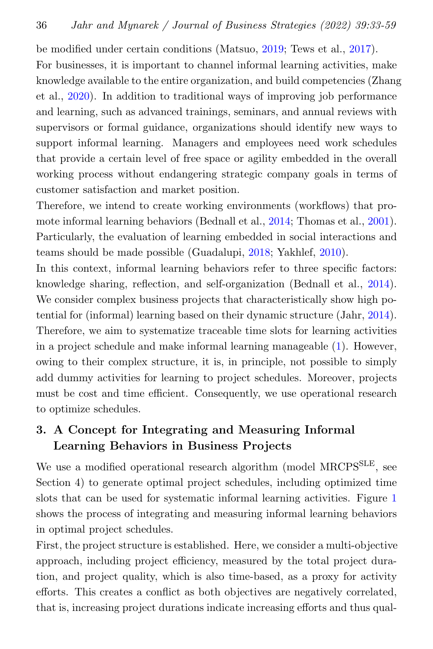be modified under certain conditions (Matsuo, [2019;](#page-24-3) Tews et al., [2017\)](#page-25-5). For businesses, it is important to channel informal learning activities, make knowledge available to the entire organization, and build competencies (Zhang et al., [2020\)](#page-26-1). In addition to traditional ways of improving job performance and learning, such as advanced trainings, seminars, and annual reviews with supervisors or formal guidance, organizations should identify new ways to support informal learning. Managers and employees need work schedules that provide a certain level of free space or agility embedded in the overall working process without endangering strategic company goals in terms of customer satisfaction and market position.

Therefore, we intend to create working environments (workflows) that promote informal learning behaviors (Bednall et al., [2014;](#page-20-1) Thomas et al., [2001\)](#page-25-6). Particularly, the evaluation of learning embedded in social interactions and teams should be made possible (Guadalupi, [2018;](#page-22-6) Yakhlef, [2010\)](#page-26-2).

In this context, informal learning behaviors refer to three specific factors: knowledge sharing, reflection, and self-organization (Bednall et al., [2014\)](#page-20-1). We consider complex business projects that characteristically show high potential for (informal) learning based on their dynamic structure (Jahr, [2014\)](#page-23-4). Therefore, we aim to systematize traceable time slots for learning activities in a project schedule and make informal learning manageable [\(1\)](#page-4-0). However, owing to their complex structure, it is, in principle, not possible to simply add dummy activities for learning to project schedules. Moreover, projects must be cost and time efficient. Consequently, we use operational research to optimize schedules.

# 3. A Concept for Integrating and Measuring Informal Learning Behaviors in Business Projects

We use a modified operational research algorithm (model MRCPS<sup>SLE</sup>, see Section 4) to generate optimal project schedules, including optimized time slots that can be used for systematic informal learning activities. Figure [1](#page-4-0) shows the process of integrating and measuring informal learning behaviors in optimal project schedules.

First, the project structure is established. Here, we consider a multi-objective approach, including project efficiency, measured by the total project duration, and project quality, which is also time-based, as a proxy for activity efforts. This creates a conflict as both objectives are negatively correlated, that is, increasing project durations indicate increasing efforts and thus qual-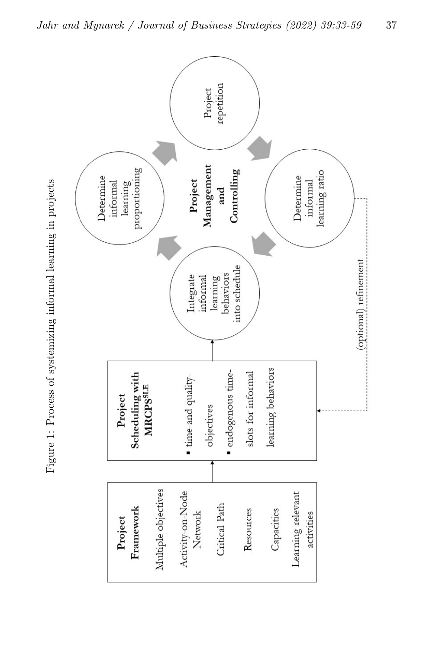<span id="page-4-0"></span>

Figure 1: Process of systemizing informal learning in projects Figure 1: Process of systemizing informal learning in projects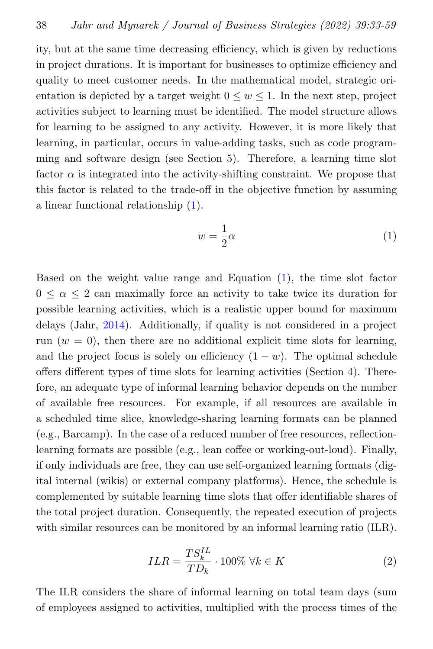ity, but at the same time decreasing efficiency, which is given by reductions in project durations. It is important for businesses to optimize efficiency and quality to meet customer needs. In the mathematical model, strategic orientation is depicted by a target weight  $0 \leq w \leq 1$ . In the next step, project activities subject to learning must be identified. The model structure allows for learning to be assigned to any activity. However, it is more likely that learning, in particular, occurs in value-adding tasks, such as code programming and software design (see Section 5). Therefore, a learning time slot factor  $\alpha$  is integrated into the activity-shifting constraint. We propose that this factor is related to the trade-off in the objective function by assuming a linear functional relationship [\(1\)](#page-5-0).

<span id="page-5-0"></span>
$$
w = \frac{1}{2}\alpha\tag{1}
$$

Based on the weight value range and Equation [\(1\)](#page-5-0), the time slot factor  $0 \leq \alpha \leq 2$  can maximally force an activity to take twice its duration for possible learning activities, which is a realistic upper bound for maximum delays (Jahr, [2014\)](#page-23-4). Additionally, if quality is not considered in a project run  $(w = 0)$ , then there are no additional explicit time slots for learning, and the project focus is solely on efficiency  $(1 - w)$ . The optimal schedule offers different types of time slots for learning activities (Section 4). Therefore, an adequate type of informal learning behavior depends on the number of available free resources. For example, if all resources are available in a scheduled time slice, knowledge-sharing learning formats can be planned (e.g., Barcamp). In the case of a reduced number of free resources, reflectionlearning formats are possible (e.g., lean coffee or working-out-loud). Finally, if only individuals are free, they can use self-organized learning formats (digital internal (wikis) or external company platforms). Hence, the schedule is complemented by suitable learning time slots that offer identifiable shares of the total project duration. Consequently, the repeated execution of projects with similar resources can be monitored by an informal learning ratio (ILR).

$$
ILR = \frac{TS_k^{IL}}{TD_k} \cdot 100\% \ \forall k \in K \tag{2}
$$

The ILR considers the share of informal learning on total team days (sum of employees assigned to activities, multiplied with the process times of the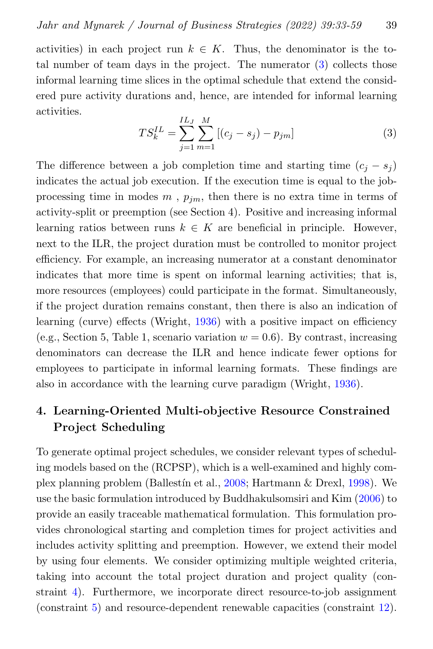activities) in each project run  $k \in K$ . Thus, the denominator is the total number of team days in the project. The numerator [\(3\)](#page-6-0) collects those informal learning time slices in the optimal schedule that extend the considered pure activity durations and, hence, are intended for informal learning activities.

<span id="page-6-0"></span>
$$
TS_k^{IL} = \sum_{j=1}^{IL_J} \sum_{m=1}^{M} \left[ (c_j - s_j) - p_{jm} \right]
$$
 (3)

The difference between a job completion time and starting time  $(c_i - s_j)$ indicates the actual job execution. If the execution time is equal to the jobprocessing time in modes  $m$ ,  $p_{im}$ , then there is no extra time in terms of activity-split or preemption (see Section 4). Positive and increasing informal learning ratios between runs  $k \in K$  are beneficial in principle. However, next to the ILR, the project duration must be controlled to monitor project efficiency. For example, an increasing numerator at a constant denominator indicates that more time is spent on informal learning activities; that is, more resources (employees) could participate in the format. Simultaneously, if the project duration remains constant, then there is also an indication of learning (curve) effects (Wright, [1936\)](#page-26-3) with a positive impact on efficiency (e.g., Section 5, Table 1, scenario variation  $w = 0.6$ ). By contrast, increasing denominators can decrease the ILR and hence indicate fewer options for employees to participate in informal learning formats. These findings are also in accordance with the learning curve paradigm (Wright, [1936\)](#page-26-3).

# 4. Learning-Oriented Multi-objective Resource Constrained Project Scheduling

To generate optimal project schedules, we consider relevant types of scheduling models based on the (RCPSP), which is a well-examined and highly complex planning problem (Ballest´ın et al., [2008;](#page-20-2) Hartmann & Drexl, [1998\)](#page-23-5). We use the basic formulation introduced by Buddhakulsomsiri and Kim [\(2006\)](#page-21-7) to provide an easily traceable mathematical formulation. This formulation provides chronological starting and completion times for project activities and includes activity splitting and preemption. However, we extend their model by using four elements. We consider optimizing multiple weighted criteria, taking into account the total project duration and project quality (constraint [4\)](#page-8-0). Furthermore, we incorporate direct resource-to-job assignment (constraint [5\)](#page-8-1) and resource-dependent renewable capacities (constraint [12\)](#page-9-0).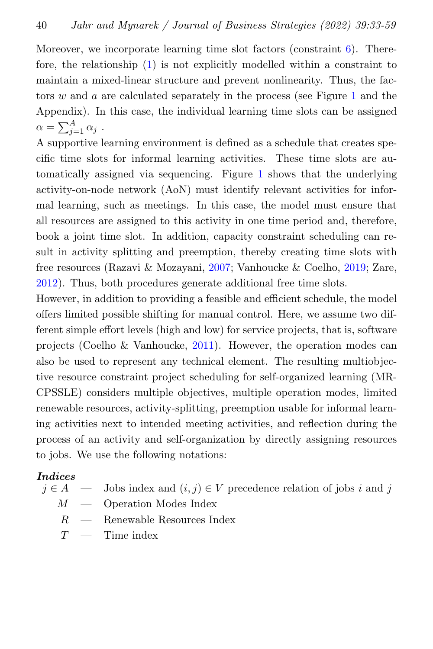Moreover, we incorporate learning time slot factors (constraint  $6$ ). Therefore, the relationship [\(1\)](#page-5-0) is not explicitly modelled within a constraint to maintain a mixed-linear structure and prevent nonlinearity. Thus, the factors w and a are calculated separately in the process (see Figure [1](#page-4-0) and the Appendix). In this case, the individual learning time slots can be assigned  $\alpha = \sum_{j=1}^A \alpha_j$ .

A supportive learning environment is defined as a schedule that creates specific time slots for informal learning activities. These time slots are automatically assigned via sequencing. Figure [1](#page-4-0) shows that the underlying activity-on-node network (AoN) must identify relevant activities for informal learning, such as meetings. In this case, the model must ensure that all resources are assigned to this activity in one time period and, therefore, book a joint time slot. In addition, capacity constraint scheduling can result in activity splitting and preemption, thereby creating time slots with free resources (Razavi & Mozayani, [2007;](#page-25-7) Vanhoucke & Coelho, [2019;](#page-26-4) Zare, [2012\)](#page-26-5). Thus, both procedures generate additional free time slots.

However, in addition to providing a feasible and efficient schedule, the model offers limited possible shifting for manual control. Here, we assume two different simple effort levels (high and low) for service projects, that is, software projects (Coelho & Vanhoucke, [2011\)](#page-22-7). However, the operation modes can also be used to represent any technical element. The resulting multiobjective resource constraint project scheduling for self-organized learning (MR-CPSSLE) considers multiple objectives, multiple operation modes, limited renewable resources, activity-splitting, preemption usable for informal learning activities next to intended meeting activities, and reflection during the process of an activity and self-organization by directly assigning resources to jobs. We use the following notations:

#### Indices

- $j \in A$  Jobs index and  $(i, j) \in V$  precedence relation of jobs i and j
	- $M$  Operation Modes Index
	- $R \longrightarrow R$ enewable Resources Index
	- $T =$  Time index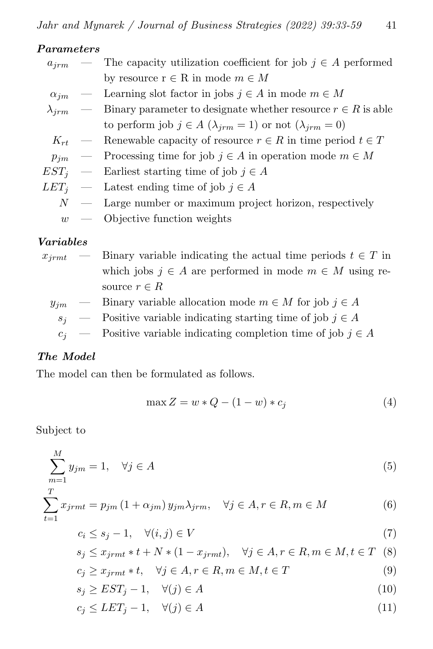#### Parameters

|  | $a_{jrm}$ – The capacity utilization coefficient for job $j \in A$ performed       |
|--|------------------------------------------------------------------------------------|
|  | by resource $r \in R$ in mode $m \in M$                                            |
|  | $\alpha_{jm}$ – Learning slot factor in jobs $j \in A$ in mode $m \in M$           |
|  | $\lambda_{irm}$ — Binary parameter to designate whether resource $r \in R$ is able |
|  | to perform job $j \in A$ ( $\lambda_{jrm} = 1$ ) or not ( $\lambda_{jrm} = 0$ )    |
|  | $K_{rt}$ — Renewable capacity of resource $r \in R$ in time period $t \in T$       |
|  | $p_{im}$ – Processing time for job $j \in A$ in operation mode $m \in M$           |
|  | $EST_i$ — Earliest starting time of job $j \in A$                                  |
|  | $LET_i$ — Latest ending time of job $j \in A$                                      |
|  | $N$ — Large number or maximum project horizon, respectively                        |
|  | $w \sim$ Objective function weights                                                |
|  |                                                                                    |

#### Variables

|  | $x_{irmt}$ – Binary variable indicating the actual time periods $t \in T$ in |
|--|------------------------------------------------------------------------------|
|  | which jobs $j \in A$ are performed in mode $m \in M$ using re-               |
|  | source $r \in R$                                                             |
|  | $y_{im}$ — Binary variable allocation mode $m \in M$ for job $j \in A$       |
|  | $s_i$ — Positive variable indicating starting time of job $j \in A$          |
|  | $c_i$ — Positive variable indicating completion time of job $j \in A$        |

## The Model

The model can then be formulated as follows.

<span id="page-8-5"></span><span id="page-8-3"></span><span id="page-8-2"></span><span id="page-8-1"></span><span id="page-8-0"></span>
$$
\max Z = w * Q - (1 - w) * c_j \tag{4}
$$

Subject to

$$
\sum_{m=1}^{M} y_{jm} = 1, \quad \forall j \in A
$$
\n
$$
(5)
$$

$$
\sum_{t=1}^{T} x_{jrmt} = p_{jm} \left( 1 + \alpha_{jm} \right) y_{jm} \lambda_{jrm}, \quad \forall j \in A, r \in R, m \in M
$$
 (6)

$$
c_i \le s_j - 1, \quad \forall (i, j) \in V \tag{7}
$$

$$
s_j \le x_{jrmt} * t + N * (1 - x_{jrmt}), \quad \forall j \in A, r \in R, m \in M, t \in T \quad (8)
$$

$$
c_j \ge x_{jrmt} * t, \quad \forall j \in A, r \in R, m \in M, t \in T
$$
\n
$$
(9)
$$

$$
s_j \ge EST_j - 1, \quad \forall (j) \in A \tag{10}
$$

<span id="page-8-4"></span>
$$
c_j \leq LET_j - 1, \quad \forall (j) \in A \tag{11}
$$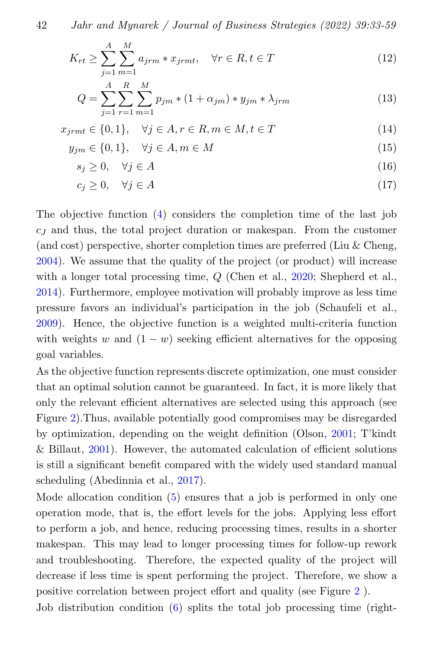42 Jahr and Mynarek / Journal of Business Strategies (2022) 39:33-59

$$
K_{rt} \ge \sum_{j=1}^{A} \sum_{m=1}^{M} a_{jrm} * x_{jrm}t, \quad \forall r \in R, t \in T
$$
\n
$$
\tag{12}
$$

<span id="page-9-2"></span><span id="page-9-1"></span><span id="page-9-0"></span>
$$
Q = \sum_{j=1}^{A} \sum_{r=1}^{R} \sum_{m=1}^{M} p_{jm} * (1 + \alpha_{jm}) * y_{jm} * \lambda_{jrm}
$$
 (13)

$$
x_{jrmt} \in \{0, 1\}, \quad \forall j \in A, r \in R, m \in M, t \in T \tag{14}
$$

$$
y_{jm} \in \{0, 1\}, \quad \forall j \in A, m \in M \tag{15}
$$

$$
s_j \ge 0, \quad \forall j \in A \tag{16}
$$

<span id="page-9-3"></span>
$$
c_j \ge 0, \quad \forall j \in A \tag{17}
$$

The objective function [\(4\)](#page-8-0) considers the completion time of the last job  $c_J$  and thus, the total project duration or makespan. From the customer (and cost) perspective, shorter completion times are preferred (Liu  $&$  Cheng, [2004\)](#page-24-4). We assume that the quality of the project (or product) will increase with a longer total processing time,  $Q$  (Chen et al., [2020;](#page-21-8) Shepherd et al., [2014\)](#page-25-4). Furthermore, employee motivation will probably improve as less time pressure favors an individual's participation in the job (Schaufeli et al., [2009\)](#page-25-8). Hence, the objective function is a weighted multi-criteria function with weights w and  $(1 - w)$  seeking efficient alternatives for the opposing goal variables.

As the objective function represents discrete optimization, one must consider that an optimal solution cannot be guaranteed. In fact, it is more likely that only the relevant efficient alternatives are selected using this approach (see Figure [2\)](#page-10-0).Thus, available potentially good compromises may be disregarded by optimization, depending on the weight definition (Olson, [2001;](#page-24-5) T'kindt & Billaut, [2001\)](#page-26-6). However, the automated calculation of efficient solutions is still a significant benefit compared with the widely used standard manual scheduling (Abedinnia et al., [2017\)](#page-20-3).

Mode allocation condition [\(5\)](#page-8-1) ensures that a job is performed in only one operation mode, that is, the effort levels for the jobs. Applying less effort to perform a job, and hence, reducing processing times, results in a shorter makespan. This may lead to longer processing times for follow-up rework and troubleshooting. Therefore, the expected quality of the project will decrease if less time is spent performing the project. Therefore, we show a positive correlation between project effort and quality (see Figure [2](#page-10-0) ).

Job distribution condition [\(6\)](#page-8-2) splits the total job processing time (right-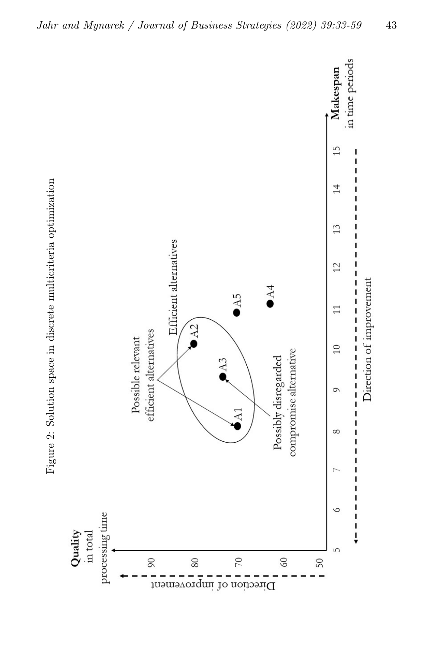<span id="page-10-0"></span>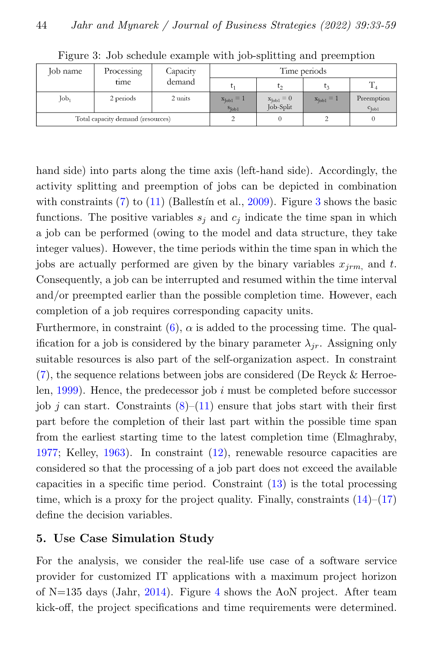| Job name         | Processing                        | Capacity | Time periods                               |                                    |                       |                                 |  |  |  |  |
|------------------|-----------------------------------|----------|--------------------------------------------|------------------------------------|-----------------------|---------------------------------|--|--|--|--|
|                  | time                              | demand   |                                            | い                                  | L٦                    | m                               |  |  |  |  |
| $\mathrm{Job}_1$ | 2 periods                         | 2 units  | $x_{\text{job1}} = 1$<br>$S_{\text{Iob1}}$ | $x_{\text{Job1}} = 0$<br>Job-Split | $x_{\text{job1}} = 1$ | Preemption<br>$c_{\text{Job1}}$ |  |  |  |  |
|                  | Total capacity demand (resources) |          |                                            |                                    |                       |                                 |  |  |  |  |

<span id="page-11-0"></span>Figure 3: Job schedule example with job-splitting and preemption

hand side) into parts along the time axis (left-hand side). Accordingly, the activity splitting and preemption of jobs can be depicted in combination with constraints  $(7)$  to  $(11)$  (Ballestin et al., [2009\)](#page-20-4). Figure [3](#page-11-0) shows the basic functions. The positive variables  $s_i$  and  $c_j$  indicate the time span in which a job can be performed (owing to the model and data structure, they take integer values). However, the time periods within the time span in which the jobs are actually performed are given by the binary variables  $x_{jrm}$ , and t. Consequently, a job can be interrupted and resumed within the time interval and/or preempted earlier than the possible completion time. However, each completion of a job requires corresponding capacity units.

Furthermore, in constraint [\(6\)](#page-8-2),  $\alpha$  is added to the processing time. The qualification for a job is considered by the binary parameter  $\lambda_{ir}$ . Assigning only suitable resources is also part of the self-organization aspect. In constraint [\(7\)](#page-8-3), the sequence relations between jobs are considered (De Reyck & Herroelen,  $1999$ ). Hence, the predecessor job i must be completed before successor job j can start. Constraints  $(8)$ – $(11)$  ensure that jobs start with their first part before the completion of their last part within the possible time span from the earliest starting time to the latest completion time (Elmaghraby, [1977;](#page-22-9) Kelley, [1963\)](#page-23-6). In constraint [\(12\)](#page-9-0), renewable resource capacities are considered so that the processing of a job part does not exceed the available capacities in a specific time period. Constraint [\(13\)](#page-9-1) is the total processing time, which is a proxy for the project quality. Finally, constraints  $(14)$ – $(17)$ define the decision variables.

#### 5. Use Case Simulation Study

For the analysis, we consider the real-life use case of a software service provider for customized IT applications with a maximum project horizon of  $N=135$  days (Jahr, [2014\)](#page-23-4). Figure [4](#page-13-0) shows the AoN project. After team kick-off, the project specifications and time requirements were determined.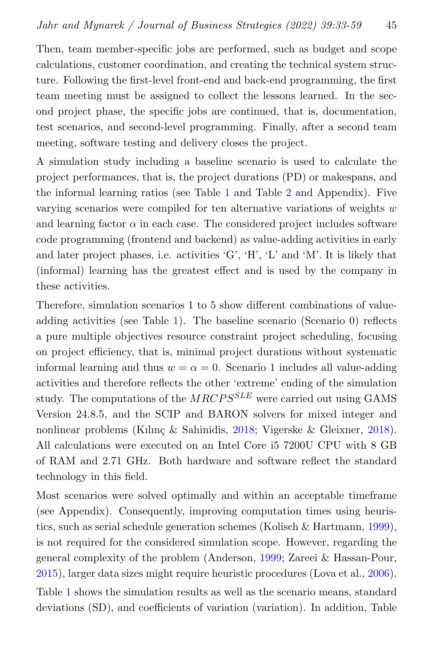Then, team member-specific jobs are performed, such as budget and scope calculations, customer coordination, and creating the technical system structure. Following the first-level front-end and back-end programming, the first team meeting must be assigned to collect the lessons learned. In the second project phase, the specific jobs are continued, that is, documentation, test scenarios, and second-level programming. Finally, after a second team meeting, software testing and delivery closes the project.

A simulation study including a baseline scenario is used to calculate the project performances, that is, the project durations (PD) or makespans, and the informal learning ratios (see Table [1](#page-15-0) and Table [2](#page-16-0) and Appendix). Five varying scenarios were compiled for ten alternative variations of weights  $w$ and learning factor  $\alpha$  in each case. The considered project includes software code programming (frontend and backend) as value-adding activities in early and later project phases, i.e. activities 'G', 'H', 'L' and 'M'. It is likely that (informal) learning has the greatest effect and is used by the company in these activities.

Therefore, simulation scenarios 1 to 5 show different combinations of valueadding activities (see Table [1\)](#page-15-0). The baseline scenario (Scenario 0) reflects a pure multiple objectives resource constraint project scheduling, focusing on project efficiency, that is, minimal project durations without systematic informal learning and thus  $w = \alpha = 0$ . Scenario 1 includes all value-adding activities and therefore reflects the other 'extreme' ending of the simulation study. The computations of the  $MRCP S^{SLE}$  were carried out using GAMS Version 24.8.5, and the SCIP and BARON solvers for mixed integer and nonlinear problems (Kılınç & Sahinidis, [2018;](#page-23-7) Vigerske & Gleixner, [2018\)](#page-26-7). All calculations were executed on an Intel Core i5 7200U CPU with 8 GB of RAM and 2.71 GHz. Both hardware and software reflect the standard technology in this field.

Most scenarios were solved optimally and within an acceptable timeframe (see Appendix). Consequently, improving computation times using heuris-tics, such as serial schedule generation schemes (Kolisch & Hartmann, [1999\)](#page-23-8), is not required for the considered simulation scope. However, regarding the general complexity of the problem (Anderson, [1999;](#page-20-5) Zareei & Hassan-Pour, [2015\)](#page-26-8), larger data sizes might require heuristic procedures (Lova et al., [2006\)](#page-24-6).

Table [1](#page-15-0) shows the simulation results as well as the scenario means, standard deviations (SD), and coefficients of variation (variation). In addition, Table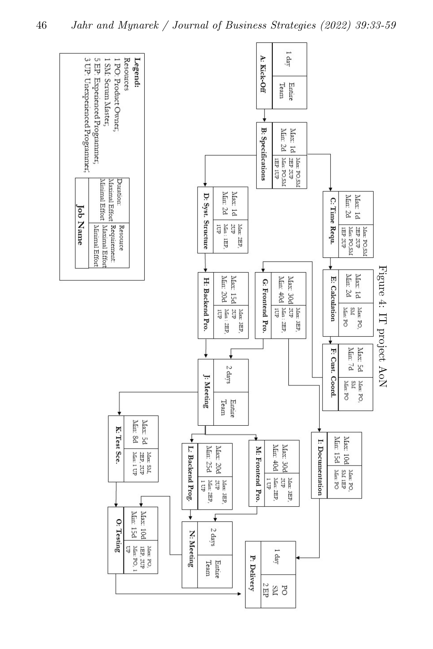<span id="page-13-0"></span>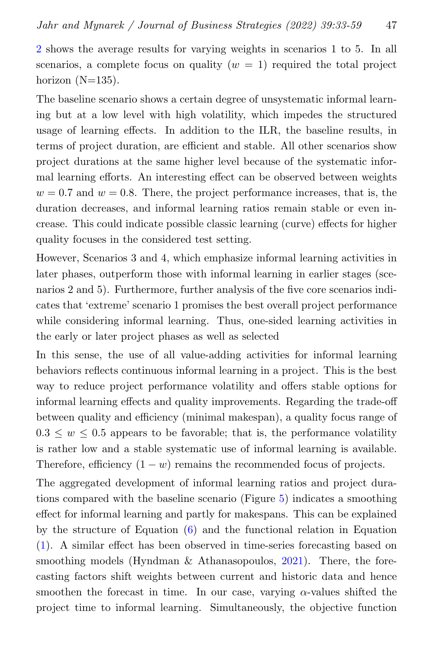[2](#page-16-0) shows the average results for varying weights in scenarios 1 to 5. In all scenarios, a complete focus on quality  $(w = 1)$  required the total project horizon  $(N=135)$ .

The baseline scenario shows a certain degree of unsystematic informal learning but at a low level with high volatility, which impedes the structured usage of learning effects. In addition to the ILR, the baseline results, in terms of project duration, are efficient and stable. All other scenarios show project durations at the same higher level because of the systematic informal learning efforts. An interesting effect can be observed between weights  $w = 0.7$  and  $w = 0.8$ . There, the project performance increases, that is, the duration decreases, and informal learning ratios remain stable or even increase. This could indicate possible classic learning (curve) effects for higher quality focuses in the considered test setting.

However, Scenarios 3 and 4, which emphasize informal learning activities in later phases, outperform those with informal learning in earlier stages (scenarios 2 and 5). Furthermore, further analysis of the five core scenarios indicates that 'extreme' scenario 1 promises the best overall project performance while considering informal learning. Thus, one-sided learning activities in the early or later project phases as well as selected

In this sense, the use of all value-adding activities for informal learning behaviors reflects continuous informal learning in a project. This is the best way to reduce project performance volatility and offers stable options for informal learning effects and quality improvements. Regarding the trade-off between quality and efficiency (minimal makespan), a quality focus range of  $0.3 \leq w \leq 0.5$  appears to be favorable; that is, the performance volatility is rather low and a stable systematic use of informal learning is available. Therefore, efficiency  $(1 - w)$  remains the recommended focus of projects.

The aggregated development of informal learning ratios and project durations compared with the baseline scenario (Figure [5\)](#page-17-0) indicates a smoothing effect for informal learning and partly for makespans. This can be explained by the structure of Equation [\(6\)](#page-8-2) and the functional relation in Equation [\(1\)](#page-5-0). A similar effect has been observed in time-series forecasting based on smoothing models (Hyndman & Athanasopoulos, [2021\)](#page-23-9). There, the forecasting factors shift weights between current and historic data and hence smoothen the forecast in time. In our case, varying  $\alpha$ -values shifted the project time to informal learning. Simultaneously, the objective function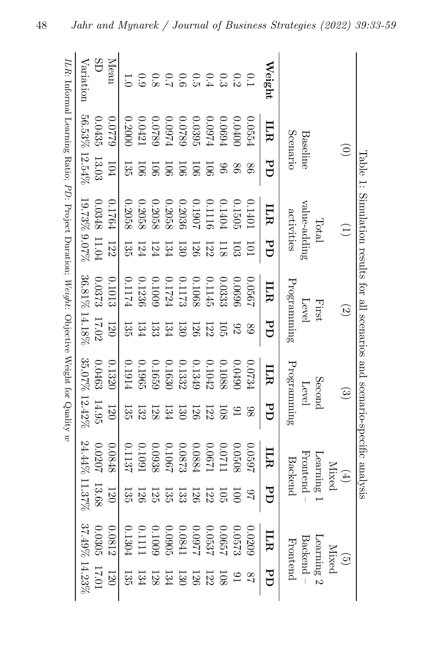<span id="page-15-0"></span>

| ILR: Informal Learning Ratio; PD: Project Duration; Weight: Objective Weight for Quality w | Variation     | SD        | Mean       |                                                                                                                            | 0.9    | $\overline{8}$                                            |                |                     |            |                | 0.334800.2000.2  |                  |            | Weight                  |             |              |            |              |                   |                                                                              |
|--------------------------------------------------------------------------------------------|---------------|-----------|------------|----------------------------------------------------------------------------------------------------------------------------|--------|-----------------------------------------------------------|----------------|---------------------|------------|----------------|------------------|------------------|------------|-------------------------|-------------|--------------|------------|--------------|-------------------|------------------------------------------------------------------------------|
|                                                                                            | 56.53% 12.54% | 0.0435    | 62200      | 0.2000                                                                                                                     | 0.0421 | 6820.0                                                    | 120974         | 6820.0              | 0.0395     | 1200.0         | 0.0694           | 00#00            | 0.0554     | ILR                     | Scenario    | Baseline     |            |              | $\widehat{\odot}$ |                                                                              |
|                                                                                            |               | $13.03$   | $104\,$    | 135                                                                                                                        | 100    | 90I                                                       | 901            | $\overline{5}$      | 90I        | $\overline{5}$ | 96               | 98               | 98         | ED                      |             |              |            |              |                   |                                                                              |
|                                                                                            | 19.73% 9.07%  | 0.0348    | $0.1764\,$ | 0.2058                                                                                                                     | 0.2058 | 0.2058                                                    | 0.2058         | 0.2036              | 7001.07    | 0.1116         | 0.1404           | 0.1505           | 0.1401     | $\overline{\text{ILR}}$ | activities  | value-adding | Total      |              | $\widehat{\Xi}$   |                                                                              |
|                                                                                            |               | 11.04     | 122        |                                                                                                                            |        | $\begin{array}{c} 130 \\ 134 \\ 124 \\ 135 \end{array}$   |                |                     | 126        |                | 18               | $\overline{103}$ | $\Xi$      | ЪD                      |             |              |            |              |                   |                                                                              |
|                                                                                            | 36.81% 14.18% | 6.0373    | 0.1013     | 1174                                                                                                                       | 0.1236 | 60010                                                     |                | $0.11724$<br>0.1724 | 0.1068     | 0.1145         | 0.0333           | 9690'0           | 1990.0     | ILR                     | Programming | Level        | First      |              | $\odot$           |                                                                              |
|                                                                                            |               | $17.02$   | 120        | 135                                                                                                                        |        | $\frac{130}{133}$                                         |                |                     | 126        | 122            | $\overline{105}$ | 82               | 89         | $\rm\thinspace d$       |             |              |            |              |                   |                                                                              |
|                                                                                            | 35.07% 12.42% | 0.0463    | 0.1320     | 0.1914                                                                                                                     | 0.1965 | 0.1659                                                    | 0.1630         | 0.1332              | 0.1349     | 0.1042         | 0.1088           | 0.0490           | 16734      | $\overline{\text{H}}$   | Programming | Level        | Second     |              | $\odot$           |                                                                              |
|                                                                                            |               | 14.95     | 120        | 135                                                                                                                        |        | $\frac{130}{128}$                                         |                |                     | 126        | 122            | 108              | $\overline{16}$  | 86         | FD                      |             |              |            |              |                   |                                                                              |
|                                                                                            | 24.44% 11.37% | 7020.0    | 0.0848     | 1137                                                                                                                       | 1091   | 0.0938                                                    | 1067           | 6.0873              | 0.0884     | 1290'0         | 1120.0           | 0.0508           | 2620.0     | ПR                      | Backend     | Frontend     |            | <b>Mixed</b> |                   | Table 1: Simulation results for all scenarios and scenario-specific analysis |
|                                                                                            |               | $13.68\,$ | 120        | $135\,$                                                                                                                    | 126    | 125                                                       | $133\atop 135$ |                     | <b>126</b> | $122\,$        | 105              | $\overline{0}0$  | $\sqrt{2}$ | FD                      |             |              | Learning 1 |              | $(\pm)$           |                                                                              |
|                                                                                            | 37.49% 14.23% | 0.0305    | 0.0812     | $\begin{array}{l} 0.0572 \\ 0.06577 \\ 0.05377 \\ 0.0977 \\ 0.0941 \\ 0.1009 \\ 0.1111 \\ 0.1304 \\ 0.1304 \\ \end{array}$ |        |                                                           |                |                     |            |                |                  |                  | 0.0209     | ЩR                      | Frontend    | Backend      | Learning 2 |              | $\binom{5}{1}$    |                                                                              |
|                                                                                            |               | 17.0      | 120        |                                                                                                                            |        | $\frac{122}{1280}$ $\frac{1280}{1284}$ $\frac{1281}{125}$ |                |                     |            |                | 108              |                  |            | ЪĹ                      |             |              |            |              |                   |                                                                              |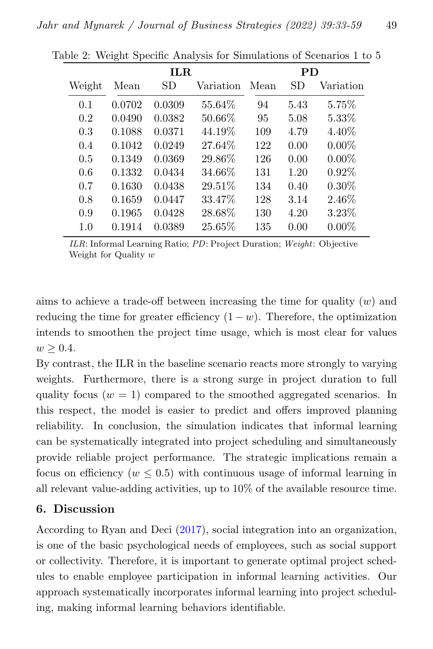<span id="page-16-0"></span>

|        |        | ILR.   |           | PD.  |      |           |  |  |  |
|--------|--------|--------|-----------|------|------|-----------|--|--|--|
| Weight | Mean   | SD     | Variation | Mean | SD   | Variation |  |  |  |
| 0.1    | 0.0702 | 0.0309 | 55.64%    | 94   | 5.43 | 5.75%     |  |  |  |
| 0.2    | 0.0490 | 0.0382 | 50.66%    | 95   | 5.08 | 5.33%     |  |  |  |
| 0.3    | 0.1088 | 0.0371 | 44.19%    | 109  | 4.79 | 4.40\%    |  |  |  |
| 0.4    | 0.1042 | 0.0249 | 27.64%    | 122  | 0.00 | $0.00\%$  |  |  |  |
| 0.5    | 0.1349 | 0.0369 | 29.86%    | 126  | 0.00 | $0.00\%$  |  |  |  |
| 0.6    | 0.1332 | 0.0434 | 34.66%    | 131  | 1.20 | $0.92\%$  |  |  |  |
| 0.7    | 0.1630 | 0.0438 | 29.51%    | 134  | 0.40 | $0.30\%$  |  |  |  |
| 0.8    | 0.1659 | 0.0447 | 33.47%    | 128  | 3.14 | 2.46\%    |  |  |  |
| 0.9    | 0.1965 | 0.0428 | 28.68%    | 130  | 4.20 | 3.23%     |  |  |  |
| 1.0    | 0.1914 | 0.0389 | 25.65\%   | 135  | 0.00 | $0.00\%$  |  |  |  |

Table 2: Weight Specific Analysis for Simulations of Scenarios 1 to 5

ILR: Informal Learning Ratio; PD: Project Duration; Weight: Objective Weight for Quality w

aims to achieve a trade-off between increasing the time for quality  $(w)$  and reducing the time for greater efficiency  $(1 - w)$ . Therefore, the optimization intends to smoothen the project time usage, which is most clear for values  $w \geq 0.4$ .

By contrast, the ILR in the baseline scenario reacts more strongly to varying weights. Furthermore, there is a strong surge in project duration to full quality focus  $(w = 1)$  compared to the smoothed aggregated scenarios. In this respect, the model is easier to predict and offers improved planning reliability. In conclusion, the simulation indicates that informal learning can be systematically integrated into project scheduling and simultaneously provide reliable project performance. The strategic implications remain a focus on efficiency ( $w \leq 0.5$ ) with continuous usage of informal learning in all relevant value-adding activities, up to 10% of the available resource time.

#### 6. Discussion

According to Ryan and Deci [\(2017\)](#page-25-3), social integration into an organization, is one of the basic psychological needs of employees, such as social support or collectivity. Therefore, it is important to generate optimal project schedules to enable employee participation in informal learning activities. Our approach systematically incorporates informal learning into project scheduling, making informal learning behaviors identifiable.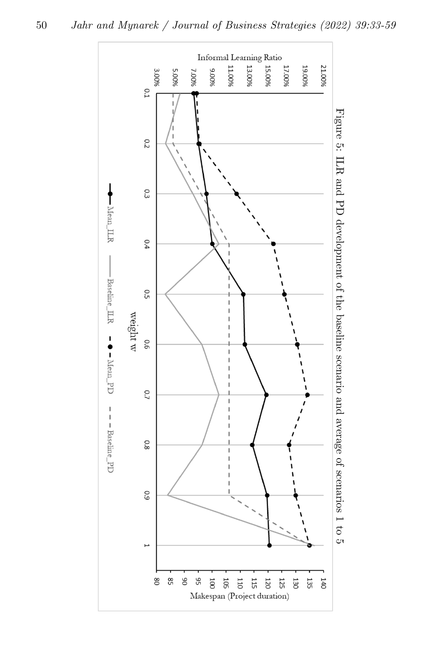<span id="page-17-0"></span>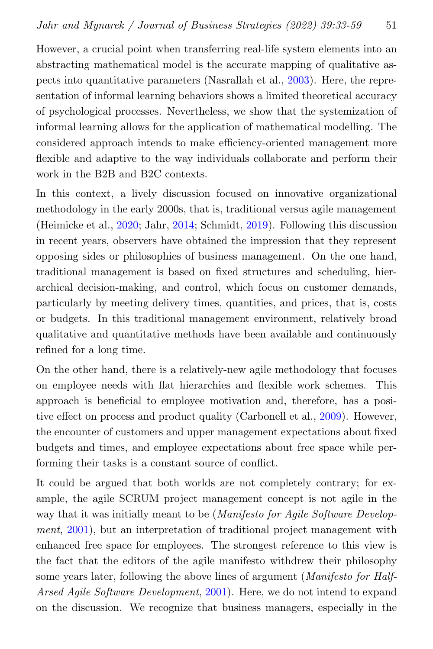However, a crucial point when transferring real-life system elements into an abstracting mathematical model is the accurate mapping of qualitative aspects into quantitative parameters (Nasrallah et al., [2003\)](#page-24-7). Here, the representation of informal learning behaviors shows a limited theoretical accuracy of psychological processes. Nevertheless, we show that the systemization of informal learning allows for the application of mathematical modelling. The considered approach intends to make efficiency-oriented management more flexible and adaptive to the way individuals collaborate and perform their work in the B2B and B2C contexts.

In this context, a lively discussion focused on innovative organizational methodology in the early 2000s, that is, traditional versus agile management (Heimicke et al., [2020;](#page-23-10) Jahr, [2014;](#page-23-4) Schmidt, [2019\)](#page-25-9). Following this discussion in recent years, observers have obtained the impression that they represent opposing sides or philosophies of business management. On the one hand, traditional management is based on fixed structures and scheduling, hierarchical decision-making, and control, which focus on customer demands, particularly by meeting delivery times, quantities, and prices, that is, costs or budgets. In this traditional management environment, relatively broad qualitative and quantitative methods have been available and continuously refined for a long time.

On the other hand, there is a relatively-new agile methodology that focuses on employee needs with flat hierarchies and flexible work schemes. This approach is beneficial to employee motivation and, therefore, has a positive effect on process and product quality (Carbonell et al., [2009\)](#page-21-9). However, the encounter of customers and upper management expectations about fixed budgets and times, and employee expectations about free space while performing their tasks is a constant source of conflict.

It could be argued that both worlds are not completely contrary; for example, the agile SCRUM project management concept is not agile in the way that it was initially meant to be (*Manifesto for Agile Software Develop*ment,  $2001$ ), but an interpretation of traditional project management with enhanced free space for employees. The strongest reference to this view is the fact that the editors of the agile manifesto withdrew their philosophy some years later, following the above lines of argument (*Manifesto for Half-*Arsed Agile Software Development, [2001\)](#page-24-9). Here, we do not intend to expand on the discussion. We recognize that business managers, especially in the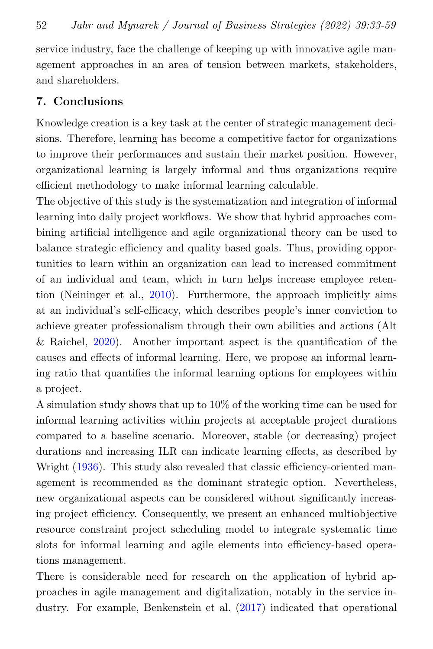service industry, face the challenge of keeping up with innovative agile management approaches in an area of tension between markets, stakeholders, and shareholders.

# 7. Conclusions

Knowledge creation is a key task at the center of strategic management decisions. Therefore, learning has become a competitive factor for organizations to improve their performances and sustain their market position. However, organizational learning is largely informal and thus organizations require efficient methodology to make informal learning calculable.

The objective of this study is the systematization and integration of informal learning into daily project workflows. We show that hybrid approaches combining artificial intelligence and agile organizational theory can be used to balance strategic efficiency and quality based goals. Thus, providing opportunities to learn within an organization can lead to increased commitment of an individual and team, which in turn helps increase employee retention (Neininger et al., [2010\)](#page-24-10). Furthermore, the approach implicitly aims at an individual's self-efficacy, which describes people's inner conviction to achieve greater professionalism through their own abilities and actions (Alt & Raichel, [2020\)](#page-20-6). Another important aspect is the quantification of the causes and effects of informal learning. Here, we propose an informal learning ratio that quantifies the informal learning options for employees within a project.

A simulation study shows that up to 10% of the working time can be used for informal learning activities within projects at acceptable project durations compared to a baseline scenario. Moreover, stable (or decreasing) project durations and increasing ILR can indicate learning effects, as described by Wright [\(1936\)](#page-26-3). This study also revealed that classic efficiency-oriented management is recommended as the dominant strategic option. Nevertheless, new organizational aspects can be considered without significantly increasing project efficiency. Consequently, we present an enhanced multiobjective resource constraint project scheduling model to integrate systematic time slots for informal learning and agile elements into efficiency-based operations management.

There is considerable need for research on the application of hybrid approaches in agile management and digitalization, notably in the service industry. For example, Benkenstein et al. [\(2017\)](#page-20-0) indicated that operational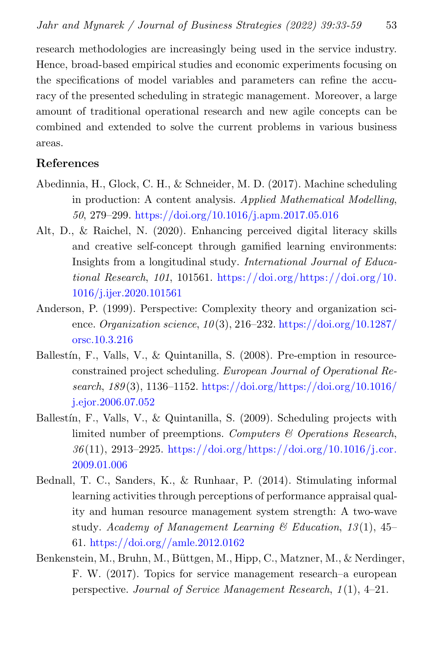research methodologies are increasingly being used in the service industry. Hence, broad-based empirical studies and economic experiments focusing on the specifications of model variables and parameters can refine the accuracy of the presented scheduling in strategic management. Moreover, a large amount of traditional operational research and new agile concepts can be combined and extended to solve the current problems in various business areas.

#### References

- <span id="page-20-3"></span>Abedinnia, H., Glock, C. H., & Schneider, M. D. (2017). Machine scheduling in production: A content analysis. Applied Mathematical Modelling, 50, 279–299. <https://doi.org/10.1016/j.apm.2017.05.016>
- <span id="page-20-6"></span>Alt, D., & Raichel, N. (2020). Enhancing perceived digital literacy skills and creative self-concept through gamified learning environments: Insights from a longitudinal study. International Journal of Educational Research, 101, 101561. [https://doi.org/https://doi.org/10.](https://doi.org/https://doi.org/10.1016/j.ijer.2020.101561) [1016/j.ijer.2020.101561](https://doi.org/https://doi.org/10.1016/j.ijer.2020.101561)
- <span id="page-20-5"></span>Anderson, P. (1999). Perspective: Complexity theory and organization science. Organization science,  $10(3)$ ,  $216-232$ . [https://doi.org/10.1287/](https://doi.org/10.1287/orsc.10.3.216) [orsc.10.3.216](https://doi.org/10.1287/orsc.10.3.216)
- <span id="page-20-2"></span>Ballestín, F., Valls, V., & Quintanilla, S. (2008). Pre-emption in resourceconstrained project scheduling. European Journal of Operational Research, 189 (3), 1136–1152. [https://doi.org/https://doi.org/10.1016/](https://doi.org/https://doi.org/10.1016/j.ejor.2006.07.052) [j.ejor.2006.07.052](https://doi.org/https://doi.org/10.1016/j.ejor.2006.07.052)
- <span id="page-20-4"></span>Ballestín, F., Valls, V., & Quintanilla, S. (2009). Scheduling projects with limited number of preemptions. Computers & Operations Research,  $36(11), 2913-2925.$  [https://doi.org/https://doi.org/10.1016/j.cor.](https://doi.org/https://doi.org/10.1016/j.cor.2009.01.006) [2009.01.006](https://doi.org/https://doi.org/10.1016/j.cor.2009.01.006)
- <span id="page-20-1"></span>Bednall, T. C., Sanders, K., & Runhaar, P. (2014). Stimulating informal learning activities through perceptions of performance appraisal quality and human resource management system strength: A two-wave study. Academy of Management Learning & Education, 13(1), 45-61. <https://doi.org//amle.2012.0162>
- <span id="page-20-0"></span>Benkenstein, M., Bruhn, M., Büttgen, M., Hipp, C., Matzner, M., & Nerdinger, F. W. (2017). Topics for service management research–a european perspective. Journal of Service Management Research, 1(1), 4-21.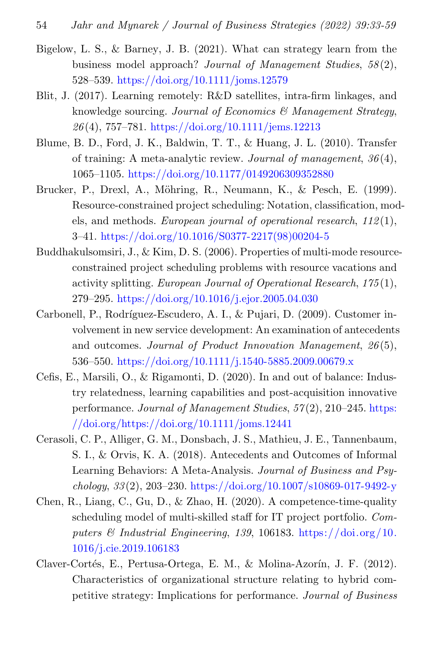- <span id="page-21-1"></span>Bigelow, L. S., & Barney, J. B. (2021). What can strategy learn from the business model approach? Journal of Management Studies, 58 (2), 528–539. <https://doi.org/10.1111/joms.12579>
- <span id="page-21-4"></span>Blit, J. (2017). Learning remotely: R&D satellites, intra-firm linkages, and knowledge sourcing. Journal of Economics  $\mathcal{B}$  Management Strategy, 26 (4), 757–781. <https://doi.org/10.1111/jems.12213>
- <span id="page-21-3"></span>Blume, B. D., Ford, J. K., Baldwin, T. T., & Huang, J. L. (2010). Transfer of training: A meta-analytic review. Journal of management, 36 (4), 1065–1105. <https://doi.org/10.1177/0149206309352880>
- <span id="page-21-5"></span>Brucker, P., Drexl, A., Möhring, R., Neumann, K., & Pesch, E. (1999). Resource-constrained project scheduling: Notation, classification, models, and methods. European journal of operational research,  $112(1)$ , 3–41. [https://doi.org/10.1016/S0377-2217\(98\)00204-5](https://doi.org/10.1016/S0377-2217(98)00204-5)
- <span id="page-21-7"></span>Buddhakulsomsiri, J., & Kim, D. S. (2006). Properties of multi-mode resourceconstrained project scheduling problems with resource vacations and activity splitting. European Journal of Operational Research, 175 (1), 279–295. <https://doi.org/10.1016/j.ejor.2005.04.030>
- <span id="page-21-9"></span>Carbonell, P., Rodríguez-Escudero, A. I., & Pujari, D. (2009). Customer involvement in new service development: An examination of antecedents and outcomes. Journal of Product Innovation Management, 26 (5), 536–550. <https://doi.org/10.1111/j.1540-5885.2009.00679.x>
- <span id="page-21-6"></span>Cefis, E., Marsili, O., & Rigamonti, D. (2020). In and out of balance: Industry relatedness, learning capabilities and post-acquisition innovative performance. Journal of Management Studies, 57 (2), 210–245. [https:](https://doi.org/https://doi.org/10.1111/joms.12441) [//doi.org/https://doi.org/10.1111/joms.12441](https://doi.org/https://doi.org/10.1111/joms.12441)
- <span id="page-21-0"></span>Cerasoli, C. P., Alliger, G. M., Donsbach, J. S., Mathieu, J. E., Tannenbaum, S. I., & Orvis, K. A. (2018). Antecedents and Outcomes of Informal Learning Behaviors: A Meta-Analysis. Journal of Business and Psychology, 33 (2), 203–230. <https://doi.org/10.1007/s10869-017-9492-y>
- <span id="page-21-8"></span>Chen, R., Liang, C., Gu, D., & Zhao, H. (2020). A competence-time-quality scheduling model of multi-skilled staff for IT project portfolio. Computers & Industrial Engineering, 139, 106183. [https://doi.org/10.](https://doi.org/10.1016/j.cie.2019.106183) [1016/j.cie.2019.106183](https://doi.org/10.1016/j.cie.2019.106183)
- <span id="page-21-2"></span>Claver-Cortés, E., Pertusa-Ortega, E. M., & Molina-Azorín, J. F. (2012). Characteristics of organizational structure relating to hybrid competitive strategy: Implications for performance. Journal of Business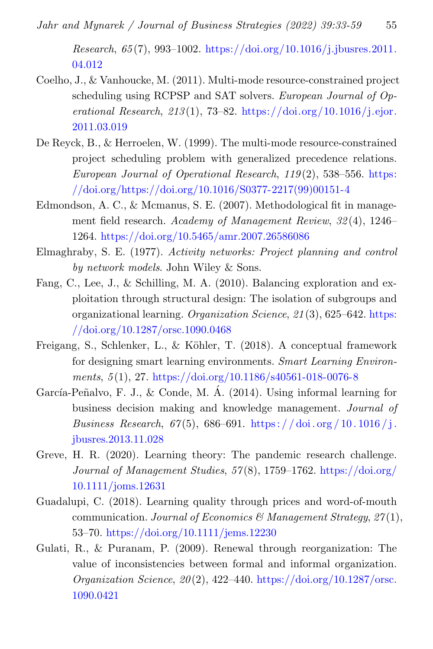Research, 65 (7), 993–1002. [https://doi.org/10.1016/j.jbusres.2011.](https://doi.org/10.1016/j.jbusres.2011.04.012) [04.012](https://doi.org/10.1016/j.jbusres.2011.04.012)

- <span id="page-22-7"></span>Coelho, J., & Vanhoucke, M. (2011). Multi-mode resource-constrained project scheduling using RCPSP and SAT solvers. *European Journal of Op*erational Research,  $213(1)$ , 73–82. [https://doi.org/10.1016/j.ejor.](https://doi.org/10.1016/j.ejor.2011.03.019) [2011.03.019](https://doi.org/10.1016/j.ejor.2011.03.019)
- <span id="page-22-8"></span>De Reyck, B., & Herroelen, W. (1999). The multi-mode resource-constrained project scheduling problem with generalized precedence relations. European Journal of Operational Research, 119 (2), 538–556. [https:](https://doi.org/https://doi.org/10.1016/S0377-2217(99)00151-4) [//doi.org/https://doi.org/10.1016/S0377-2217\(99\)00151-4](https://doi.org/https://doi.org/10.1016/S0377-2217(99)00151-4)
- <span id="page-22-3"></span>Edmondson, A. C., & Mcmanus, S. E. (2007). Methodological fit in management field research. Academy of Management Review, 32 (4), 1246– 1264. <https://doi.org/10.5465/amr.2007.26586086>
- <span id="page-22-9"></span>Elmaghraby, S. E. (1977). Activity networks: Project planning and control by network models. John Wiley & Sons.
- <span id="page-22-4"></span>Fang, C., Lee, J., & Schilling, M. A. (2010). Balancing exploration and exploitation through structural design: The isolation of subgroups and organizational learning. Organization Science, 21 (3), 625–642. [https:](https://doi.org/10.1287/orsc.1090.0468) [//doi.org/10.1287/orsc.1090.0468](https://doi.org/10.1287/orsc.1090.0468)
- <span id="page-22-0"></span>Freigang, S., Schlenker, L., & Köhler, T. (2018). A conceptual framework for designing smart learning environments. Smart Learning Environments, 5 (1), 27. <https://doi.org/10.1186/s40561-018-0076-8>
- <span id="page-22-2"></span>García-Peñalvo, F. J., & Conde, M. Á. (2014). Using informal learning for business decision making and knowledge management. Journal of *Business Research, 67*(5), 686–691. https://doi.org/10.1016/j. [jbusres.2013.11.028](https://doi.org/10.1016/j.jbusres.2013.11.028)
- <span id="page-22-5"></span>Greve, H. R. (2020). Learning theory: The pandemic research challenge. Journal of Management Studies,  $57(8)$ , 1759–1762. [https://doi.org/](https://doi.org/10.1111/joms.12631) [10.1111/joms.12631](https://doi.org/10.1111/joms.12631)
- <span id="page-22-6"></span>Guadalupi, C. (2018). Learning quality through prices and word-of-mouth communication. Journal of Economics & Management Strategy,  $27(1)$ , 53–70. <https://doi.org/10.1111/jems.12230>
- <span id="page-22-1"></span>Gulati, R., & Puranam, P. (2009). Renewal through reorganization: The value of inconsistencies between formal and informal organization.  $Organization\, Science, \, 20(2), \, 422-440. \, [Organization\, Science, \, 20\(2\), \, 422-440. \, <a href="https://doi.org/10.1287/orsc.</math>](https://doi.org/10.1287/orsc.</math><math display=)$ [1090.0421](https://doi.org/10.1287/orsc.1090.0421)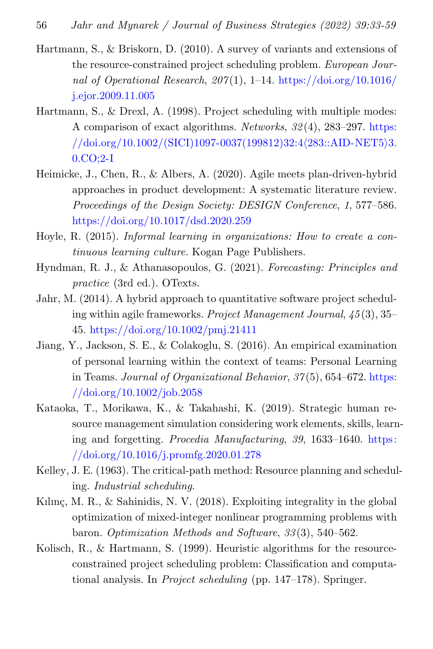- <span id="page-23-0"></span>Hartmann, S., & Briskorn, D. (2010). A survey of variants and extensions of the resource-constrained project scheduling problem. European Journal of Operational Research,  $207(1)$ , 1–14. [https://doi.org/10.1016/](https://doi.org/10.1016/j.ejor.2009.11.005) [j.ejor.2009.11.005](https://doi.org/10.1016/j.ejor.2009.11.005)
- <span id="page-23-5"></span>Hartmann, S., & Drexl, A. (1998). Project scheduling with multiple modes: A comparison of exact algorithms. Networks, 32 (4), 283–297. [https:](https://doi.org/10.1002/(SICI)1097-0037(199812)32:4<283::AID-NET5>3.0.CO;2-I) [//doi.org/10.1002/\(SICI\)1097-0037\(199812\)32:4](https://doi.org/10.1002/(SICI)1097-0037(199812)32:4<283::AID-NET5>3.0.CO;2-I)⟨283::AID-NET5⟩3.  $0.CO;2-I$
- <span id="page-23-10"></span>Heimicke, J., Chen, R., & Albers, A. (2020). Agile meets plan-driven-hybrid approaches in product development: A systematic literature review. Proceedings of the Design Society: DESIGN Conference, 1, 577–586. <https://doi.org/10.1017/dsd.2020.259>
- <span id="page-23-2"></span>Hoyle, R. (2015). Informal learning in organizations: How to create a continuous learning culture. Kogan Page Publishers.
- <span id="page-23-9"></span>Hyndman, R. J., & Athanasopoulos, G. (2021). Forecasting: Principles and practice (3rd ed.). OTexts.
- <span id="page-23-4"></span>Jahr, M. (2014). A hybrid approach to quantitative software project scheduling within agile frameworks. Project Management Journal,  $45(3)$ ,  $35-$ 45. <https://doi.org/10.1002/pmj.21411>
- <span id="page-23-3"></span>Jiang, Y., Jackson, S. E., & Colakoglu, S. (2016). An empirical examination of personal learning within the context of teams: Personal Learning in Teams. Journal of Organizational Behavior, 37 (5), 654–672. [https:](https://doi.org/10.1002/job.2058) [//doi.org/10.1002/job.2058](https://doi.org/10.1002/job.2058)
- <span id="page-23-1"></span>Kataoka, T., Morikawa, K., & Takahashi, K. (2019). Strategic human resource management simulation considering work elements, skills, learning and forgetting. Procedia Manufacturing, 39, 1633–1640. [https:](https://doi.org/10.1016/j.promfg.2020.01.278) [//doi.org/10.1016/j.promfg.2020.01.278](https://doi.org/10.1016/j.promfg.2020.01.278)
- <span id="page-23-6"></span>Kelley, J. E. (1963). The critical-path method: Resource planning and scheduling. Industrial scheduling.
- <span id="page-23-7"></span>Kılınç, M. R.,  $\&$  Sahinidis, N. V. (2018). Exploiting integrality in the global optimization of mixed-integer nonlinear programming problems with baron. Optimization Methods and Software, 33 (3), 540–562.
- <span id="page-23-8"></span>Kolisch, R., & Hartmann, S. (1999). Heuristic algorithms for the resourceconstrained project scheduling problem: Classification and computational analysis. In Project scheduling (pp. 147–178). Springer.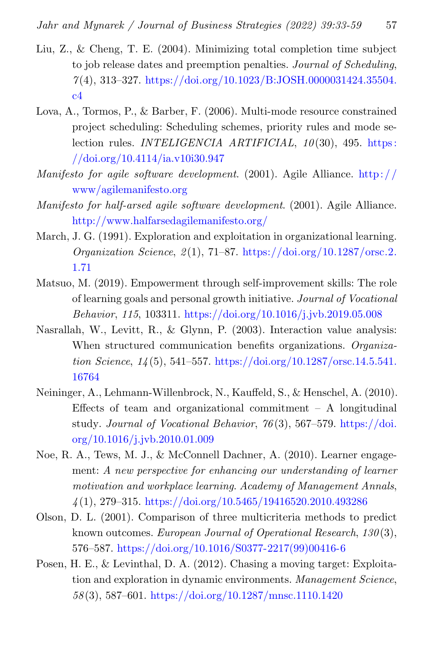- <span id="page-24-4"></span>Liu, Z., & Cheng, T. E. (2004). Minimizing total completion time subject to job release dates and preemption penalties. Journal of Scheduling, 7 (4), 313–327. [https://doi.org/10.1023/B:JOSH.0000031424.35504.](https://doi.org/10.1023/B:JOSH.0000031424.35504.c4)  $c4$
- <span id="page-24-6"></span>Lova, A., Tormos, P., & Barber, F. (2006). Multi-mode resource constrained project scheduling: Scheduling schemes, priority rules and mode selection rules. *INTELIGENCIA ARTIFICIAL*,  $10(30)$ , 495. https: [//doi.org/10.4114/ia.v10i30.947](https://doi.org/10.4114/ia.v10i30.947)
- <span id="page-24-8"></span>Manifesto for agile software development. (2001). Agile Alliance. [http: / /](http://www/agilemanifesto.org) [www/agilemanifesto.org](http://www/agilemanifesto.org)
- <span id="page-24-9"></span>Manifesto for half-arsed agile software development. (2001). Agile Alliance. <http://www.halfarsedagilemanifesto.org/>
- <span id="page-24-0"></span>March, J. G. (1991). Exploration and exploitation in organizational learning. Organization Science,  $2(1)$ , 71–87. [https://doi.org/10.1287/orsc.2.](https://doi.org/10.1287/orsc.2.1.71) [1.71](https://doi.org/10.1287/orsc.2.1.71)
- <span id="page-24-3"></span>Matsuo, M. (2019). Empowerment through self-improvement skills: The role of learning goals and personal growth initiative. Journal of Vocational Behavior, 115, 103311. <https://doi.org/10.1016/j.jvb.2019.05.008>
- <span id="page-24-7"></span>Nasrallah, W., Levitt, R., & Glynn, P. (2003). Interaction value analysis: When structured communication benefits organizations. Organization Science, 14 (5), 541–557. [https://doi.org/10.1287/orsc.14.5.541.](https://doi.org/10.1287/orsc.14.5.541.16764) [16764](https://doi.org/10.1287/orsc.14.5.541.16764)
- <span id="page-24-10"></span>Neininger, A., Lehmann-Willenbrock, N., Kauffeld, S., & Henschel, A. (2010). Effects of team and organizational commitment  $-$  A longitudinal study. Journal of Vocational Behavior, 76 (3), 567–579. [https://doi.](https://doi.org/10.1016/j.jvb.2010.01.009) [org/10.1016/j.jvb.2010.01.009](https://doi.org/10.1016/j.jvb.2010.01.009)
- <span id="page-24-2"></span>Noe, R. A., Tews, M. J., & McConnell Dachner, A. (2010). Learner engagement: A new perspective for enhancing our understanding of learner motivation and workplace learning. Academy of Management Annals, 4 (1), 279–315. <https://doi.org/10.5465/19416520.2010.493286>
- <span id="page-24-5"></span>Olson, D. L. (2001). Comparison of three multicriteria methods to predict known outcomes. European Journal of Operational Research, 130(3), 576–587. [https://doi.org/10.1016/S0377-2217\(99\)00416-6](https://doi.org/10.1016/S0377-2217(99)00416-6)
- <span id="page-24-1"></span>Posen, H. E., & Levinthal, D. A. (2012). Chasing a moving target: Exploitation and exploration in dynamic environments. Management Science, 58 (3), 587–601. <https://doi.org/10.1287/mnsc.1110.1420>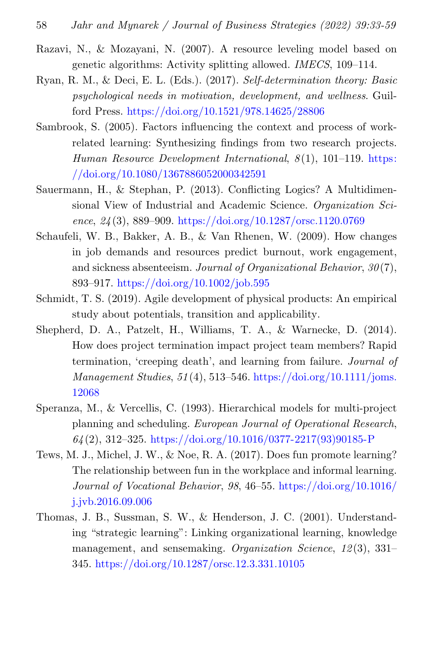- <span id="page-25-7"></span>Razavi, N., & Mozayani, N. (2007). A resource leveling model based on genetic algorithms: Activity splitting allowed. IMECS, 109–114.
- <span id="page-25-3"></span>Ryan, R. M., & Deci, E. L. (Eds.). (2017). Self-determination theory: Basic psychological needs in motivation, development, and wellness. Guilford Press. <https://doi.org/10.1521/978.14625/28806>
- <span id="page-25-0"></span>Sambrook, S. (2005). Factors influencing the context and process of workrelated learning: Synthesizing findings from two research projects. Human Resource Development International,  $8(1)$ , 101-119. [https:](https://doi.org/10.1080/1367886052000342591) [//doi.org/10.1080/1367886052000342591](https://doi.org/10.1080/1367886052000342591)
- <span id="page-25-2"></span>Sauermann, H., & Stephan, P. (2013). Conflicting Logics? A Multidimensional View of Industrial and Academic Science. Organization Science, 24 (3), 889–909. <https://doi.org/10.1287/orsc.1120.0769>
- <span id="page-25-8"></span>Schaufeli, W. B., Bakker, A. B., & Van Rhenen, W. (2009). How changes in job demands and resources predict burnout, work engagement, and sickness absenteeism. Journal of Organizational Behavior,  $30(7)$ , 893–917. <https://doi.org/10.1002/job.595>
- <span id="page-25-9"></span>Schmidt, T. S. (2019). Agile development of physical products: An empirical study about potentials, transition and applicability.
- <span id="page-25-4"></span>Shepherd, D. A., Patzelt, H., Williams, T. A., & Warnecke, D. (2014). How does project termination impact project team members? Rapid termination, 'creeping death', and learning from failure. Journal of Management Studies, 51 (4), 513–546. [https://doi.org/10.1111/joms.](https://doi.org/10.1111/joms.12068) [12068](https://doi.org/10.1111/joms.12068)
- <span id="page-25-1"></span>Speranza, M., & Vercellis, C. (1993). Hierarchical models for multi-project planning and scheduling. European Journal of Operational Research,  $64(2)$ , 312–325. [https://doi.org/10.1016/0377-2217\(93\)90185-P](https://doi.org/10.1016/0377-2217(93)90185-P)
- <span id="page-25-5"></span>Tews, M. J., Michel, J. W., & Noe, R. A. (2017). Does fun promote learning? The relationship between fun in the workplace and informal learning. Journal of Vocational Behavior, 98, 46–55. [https://doi.org/10.1016/](https://doi.org/10.1016/j.jvb.2016.09.006) [j.jvb.2016.09.006](https://doi.org/10.1016/j.jvb.2016.09.006)
- <span id="page-25-6"></span>Thomas, J. B., Sussman, S. W., & Henderson, J. C. (2001). Understanding "strategic learning": Linking organizational learning, knowledge management, and sensemaking. *Organization Science*, 12(3), 331– 345. <https://doi.org/10.1287/orsc.12.3.331.10105>